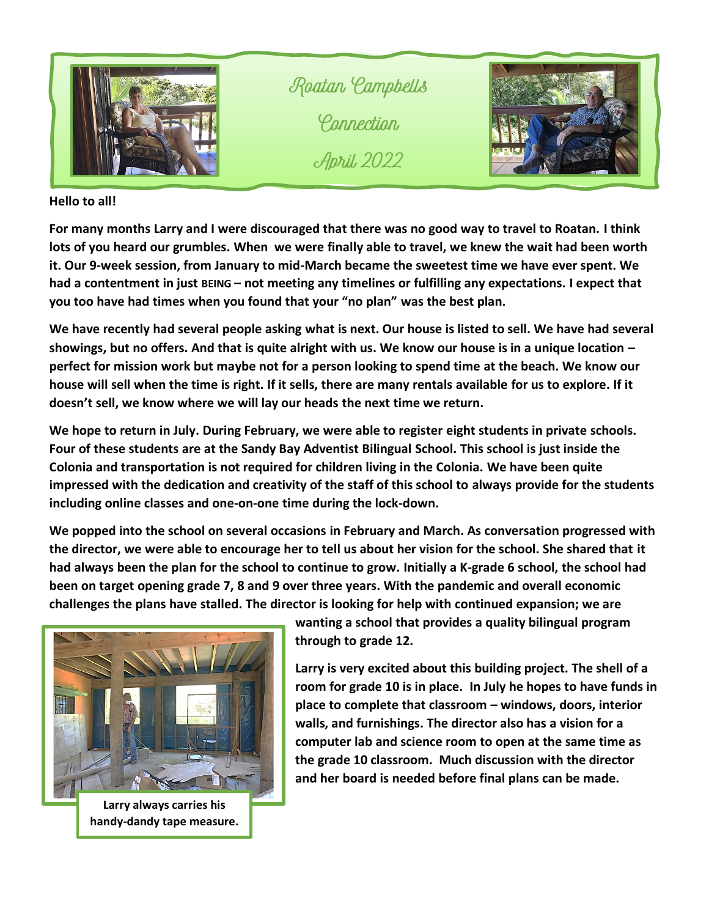

Roatan Campbells *<u>Pannection</u>* **April**, 2022



## **Hello to all!**

**For many months Larry and I were discouraged that there was no good way to travel to Roatan. I think lots of you heard our grumbles. When we were finally able to travel, we knew the wait had been worth it. Our 9-week session, from January to mid-March became the sweetest time we have ever spent. We had a contentment in just BEING – not meeting any timelines or fulfilling any expectations. I expect that you too have had times when you found that your "no plan" was the best plan.**

**We have recently had several people asking what is next. Our house is listed to sell. We have had several showings, but no offers. And that is quite alright with us. We know our house is in a unique location – perfect for mission work but maybe not for a person looking to spend time at the beach. We know our house will sell when the time is right. If it sells, there are many rentals available for us to explore. If it doesn't sell, we know where we will lay our heads the next time we return.** 

**We hope to return in July. During February, we were able to register eight students in private schools. Four of these students are at the Sandy Bay Adventist Bilingual School. This school is just inside the Colonia and transportation is not required for children living in the Colonia. We have been quite impressed with the dedication and creativity of the staff of this school to always provide for the students including online classes and one-on-one time during the lock-down.** 

**We popped into the school on several occasions in February and March. As conversation progressed with the director, we were able to encourage her to tell us about her vision for the school. She shared that it had always been the plan for the school to continue to grow. Initially a K-grade 6 school, the school had been on target opening grade 7, 8 and 9 over three years. With the pandemic and overall economic challenges the plans have stalled. The director is looking for help with continued expansion; we are** 



**Larry always carries his handy-dandy tape measure.**

**wanting a school that provides a quality bilingual program through to grade 12.**

**Larry is very excited about this building project. The shell of a room for grade 10 is in place. In July he hopes to have funds in place to complete that classroom – windows, doors, interior walls, and furnishings. The director also has a vision for a computer lab and science room to open at the same time as the grade 10 classroom. Much discussion with the director and her board is needed before final plans can be made.**